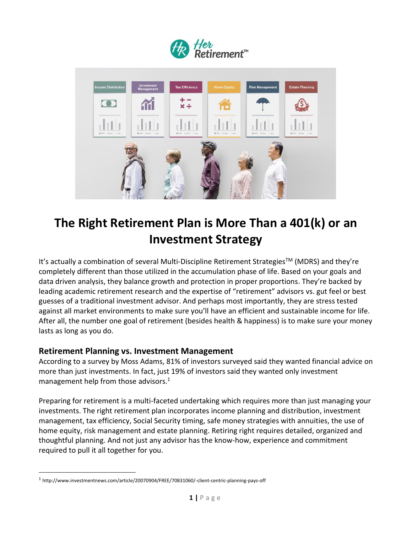



# **The Right Retirement Plan is More Than a 401(k) or an Investment Strategy**

It's actually a combination of several Multi-Discipline Retirement Strategies™ (MDRS) and they're completely different than those utilized in the accumulation phase of life. Based on your goals and data driven analysis, they balance growth and protection in proper proportions. They're backed by leading academic retirement research and the expertise of "retirement" advisors vs. gut feel or best guesses of a traditional investment advisor. And perhaps most importantly, they are stress tested against all market environments to make sure you'll have an efficient and sustainable income for life. After all, the number one goal of retirement (besides health & happiness) is to make sure your money lasts as long as you do.

#### **Retirement Planning vs. Investment Management**

According to a survey by Moss Adams, 81% of investors surveyed said they wanted financial advice on more than just investments. In fact, just 19% of investors said they wanted only investment management help from those advisors.<sup>1</sup>

Preparing for retirement is a multi-faceted undertaking which requires more than just managing your investments. The right retirement plan incorporates income planning and distribution, investment management, tax efficiency, [Social Security](https://retirementresearcher.com/glossary/social-security/) timing, safe money strategies with annuities, the use of home equity, risk management and estate planning. Retiring right requires detailed, organized and thoughtful planning. And not just any advisor has the know-how, experience and commitment required to pull it all together for you.

<sup>&</sup>lt;sup>1</sup> http://www.investmentnews.com/article/20070904/FREE/70831060/-client-centric-planning-pays-off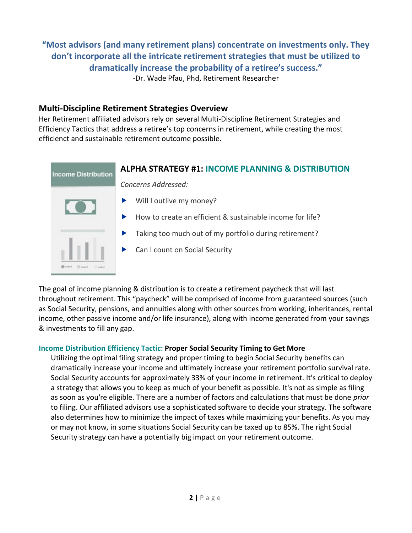**"Most advisors (and many retirement plans) concentrate on investments only. They don't incorporate all the intricate retirement strategies that must be utilized to dramatically increase the probability of a retiree's success."**

-Dr. Wade Pfau, Phd, Retirement Researcher

### **Multi-Discipline Retirement Strategies Overview**

Her Retirement affiliated advisors rely on several Multi-Discipline Retirement Strategies and Efficiency Tactics that address a retiree's top concerns in retirement, while creating the most efficienct and sustainable retirement outcome possible.

#### **ALPHA STRATEGY #1: INCOME PLANNING & DISTRIBUTION Income Distribution**

*Concerns Addressed:*

- Will I outlive my money?
- How to create an efficient & sustainable income for life?
- Taking too much out of my portfolio during retirement?
- Can I count on Social Security

The goal of income planning & distribution is to create a retirement paycheck that will last throughout retirement. This "paycheck" will be comprised of income from guaranteed sources (such as Social Security, pensions, and annuities along with other sources from working, inheritances, rental income, other passive income and/or life insurance), along with income generated from your savings & investments to fill any gap.

#### **Income Distribution Efficiency Tactic: Proper Social Security Timing to Get More**

Utilizing the optimal filing strategy and proper timing to begin Social Security benefits can dramatically increase your income and ultimately increase your retirement portfolio survival rate. Social Security accounts for approximately 33% of your income in retirement. It's critical to deploy a strategy that allows you to keep as much of your benefit as possible. It's not as simple as filing as soon as you're eligible. There are a number of factors and calculations that must be done *prior* to filing. Our affiliated advisors use a sophisticated software to decide your strategy. The software also determines how to minimize the impact of taxes while maximizing your benefits. As you may or may not know, in some situations Social Security can be taxed up to 85%. The right Social Security strategy can have a potentially big impact on your retirement outcome.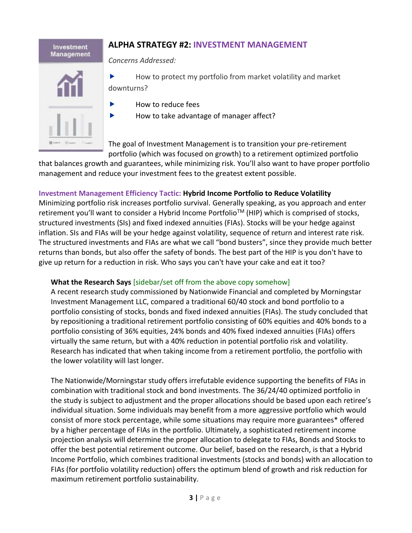### **ALPHA STRATEGY #2: INVESTMENT MANAGEMENT**

*Concerns Addressed:*



Investment Management

> $\blacktriangleright$  How to protect my portfolio from market volatility and market downturns?

- How to reduce fees
- ▶ How to take advantage of manager affect?

The goal of Investment Management is to transition your pre-retirement portfolio (which was focused on growth) to a retirement optimized portfolio

that balances growth and guarantees, while minimizing risk. You'll also want to have proper portfolio management and reduce your investment fees to the greatest extent possible.

#### **Investment Management Efficiency Tactic: Hybrid Income Portfolio to Reduce Volatility**

Minimizing portfolio risk increases portfolio survival. Generally speaking, as you approach and enter retirement you'll want to consider a Hybrid Income Portfolio™ (HIP) which is comprised of stocks, structured investments (SIs) and fixed indexed annuities (FIAs). Stocks will be your hedge against inflation. SIs and FIAs will be your hedge against volatility, sequence of return and interest rate risk. The structured investments and FIAs are what we call "bond busters", since they provide much better returns than bonds, but also offer the safety of bonds. The best part of the HIP is you don't have to give up return for a reduction in risk. Who says you can't have your cake and eat it too?

#### **What the Research Says** [sidebar/set off from the above copy somehow]

A recent research study commissioned by Nationwide Financial and completed by Morningstar Investment Management LLC, compared a traditional 60/40 stock and bond portfolio to a portfolio consisting of stocks, bonds and fixed indexed annuities (FIAs). The study concluded that by repositioning a traditional retirement portfolio consisting of 60% equities and 40% bonds to a portfolio consisting of 36% equities, 24% bonds and 40% fixed indexed annuities (FIAs) offers virtually the same return, but with a 40% reduction in potential portfolio risk and volatility. Research has indicated that when taking income from a retirement portfolio, the portfolio with the lower volatility will last longer.

The Nationwide/Morningstar study offers irrefutable evidence supporting the benefits of FIAs in combination with traditional stock and bond investments. The 36/24/40 optimized portfolio in the study is subject to adjustment and the proper allocations should be based upon each retiree's individual situation. Some individuals may benefit from a more aggressive portfolio which would consist of more stock percentage, while some situations may require more guarantees\* offered by a higher percentage of FIAs in the portfolio. Ultimately, a sophisticated retirement income projection analysis will determine the proper allocation to delegate to FIAs, Bonds and Stocks to offer the best potential retirement outcome. Our belief, based on the research, is that a Hybrid Income Portfolio, which combines traditional investments (stocks and bonds) with an allocation to FIAs (for portfolio volatility reduction) offers the optimum blend of growth and risk reduction for maximum retirement portfolio sustainability.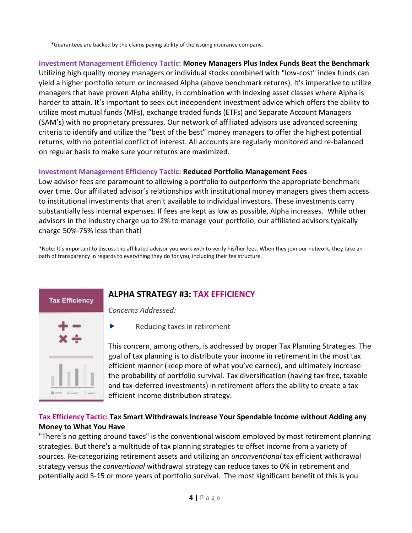\*Guarantees are backed by the claims paying ability of the issuing insurance company.

**Investment Management Efficiency Tactic: Money Managers Plus Index Funds Beat the Benchmark** Utilizing high quality money managers or individual stocks combined with "low-cost" index funds can yield a higher portfolio return or increased Alpha (above benchmark returns). It's imperative to utilize managers that have proven Alpha ability, in combination with indexing asset classes where Alpha is harder to attain. It's important to seek out independent investment advice which offers the ability to utilize most mutual funds (MFs), exchange traded funds (ETFs) and Separate Account Managers (SAM's) with no proprietary pressures. Our network of affiliated advisors use advanced screening criteria to identify and utilize the "best of the best" money managers to offer the highest potential returns, with no potential conflict of interest. All accounts are regularly monitored and re-balanced on regular basis to make sure your returns are maximized.

#### **Investment Management Efficiency Tactic: Reduced Portfolio Management Fees**

Low advisor fees are paramount to allowing a portfolio to outperform the appropriate benchmark over time. Our affiliated advisor's relationships with institutional money managers gives them access to institutional investments that aren't available to individual investors. These investments carry substantially less internal expenses. If fees are kept as low as possible, Alpha increases. While other advisors in the industry charge up to 2% to manage your portfolio, our affiliated advisors typically charge 50%-75% less than that!

\*Note: It's important to discuss the affiliated advisor you work with to verify his/her fees. When they join our network, they take an oath of transparency in regards to everything they do for you, including their fee structure.



### **ALPHA STRATEGY #3: TAX EFFICIENCY**

*Concerns Addressed:*

Reducing taxes in retirement

This concern, among others, is addressed by proper Tax Planning Strategies. The goal of tax planning is to distribute your income in retirement in the most tax efficient manner (keep more of what you've earned), and ultimately increase the probability of portfolio survival. Tax diversification (having tax-free, taxable and tax-deferred investments) in retirement offers the ability to create a tax efficient income distribution strategy.

#### **Tax Efficiency Tactic: Tax Smart Withdrawals Increase Your Spendable Income without Adding any Money to What You Have**

"There's no getting around taxes" is the conventional wisdom employed by most retirement planning strategies. But there's a multitude of tax planning strategies to offset income from a variety of sources. Re-categorizing retirement assets and utilizing an *unconventional* tax efficient withdrawal strategy versus the *conventional* withdrawal strategy can reduce taxes to 0% in retirement and potentially add 5-15 or more years of portfolio survival. The most significant benefit of this is you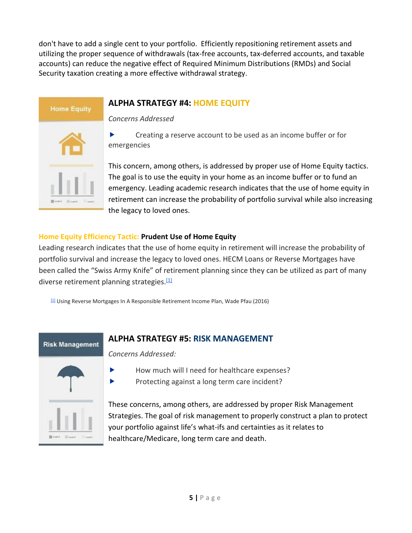don't have to add a single cent to your portfolio. Efficiently repositioning retirement assets and utilizing the proper sequence of withdrawals (tax-free accounts, tax-deferred accounts, and taxable accounts) can reduce the negative effect of Required Minimum Distributions (RMDs) and Social Security taxation creating a more effective withdrawal strategy.



*Concerns Addressed*

 Creating a reserve account to be used as an income buffer or for emergencies

This concern, among others, is addressed by proper use of Home Equity tactics. The goal is to use the equity in your home as an income buffer or to fund an emergency. Leading academic research indicates that the use of home equity in retirement can increase the probability of portfolio survival while also increasing the legacy to loved ones.

#### **Home Equity Efficiency Tactic: Prudent Use of Home Equity**

Leading research indicates that the use of home equity in retirement will increase the probability of portfolio survival and increase the legacy to loved ones. HECM Loans or Reverse Mortgages have been called the "Swiss Army Knife" of retirement planning since they can be utilized as part of many diverse retirement planning strategies. $[1]$ 

[\[1\]](https://mail.google.com/mail/u/0/#m_-8497895616695305587__ftnref1) Using Reverse Mortgages In A Responsible Retirement Income Plan, Wade Pfau (2016)



**Home Equity** 

#### **ALPHA STRATEGY #5: RISK MANAGEMENT**

*Concerns Addressed:*

- How much will I need for healthcare expenses?
- Protecting against a long term care incident?

These concerns, among others, are addressed by proper Risk Management Strategies. The goal of risk management to properly construct a plan to protect your portfolio against life's what-ifs and certainties as it relates to healthcare/Medicare, long term care and death.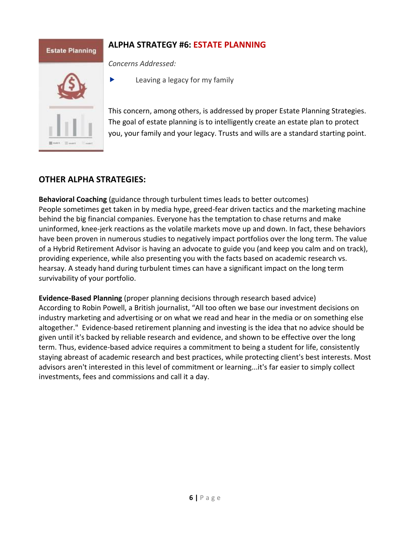#### **ALPHA STRATEGY #6: ESTATE PLANNING**

**Estate Planning** 

#### *Concerns Addressed:*

Leaving a legacy for my family

This concern, among others, is addressed by proper Estate Planning Strategies. The goal of estate planning is to intelligently create an estate plan to protect you, your family and your legacy. Trusts and wills are a standard starting point.

#### **OTHER ALPHA STRATEGIES:**

**Behavioral Coaching** (guidance through turbulent times leads to better outcomes) People sometimes get taken in by media hype, greed-fear driven tactics and the marketing machine behind the big financial companies. Everyone has the temptation to chase returns and make uninformed, knee-jerk reactions as the volatile markets move up and down. In fact, these behaviors have been proven in numerous studies to negatively impact portfolios over the long term. The value of a Hybrid Retirement Advisor is having an advocate to guide you (and keep you calm and on track), providing experience, while also presenting you with the facts based on academic research vs. hearsay. A steady hand during turbulent times can have a significant impact on the long term survivability of your portfolio.

**Evidence-Based Planning** (proper planning decisions through research based advice) According to Robin Powell, a British journalist, "All too often we base our investment decisions on industry marketing and advertising or on what we read and hear in the media or on something else altogether." Evidence-based retirement planning and investing is the idea that no advice should be given until it's backed by reliable research and evidence, and shown to be effective over the long term. Thus, evidence-based advice requires a commitment to being a student for life, consistently staying abreast of academic research and best practices, while protecting client's best interests. Most advisors aren't interested in this level of commitment or learning...it's far easier to simply collect investments, fees and commissions and call it a day.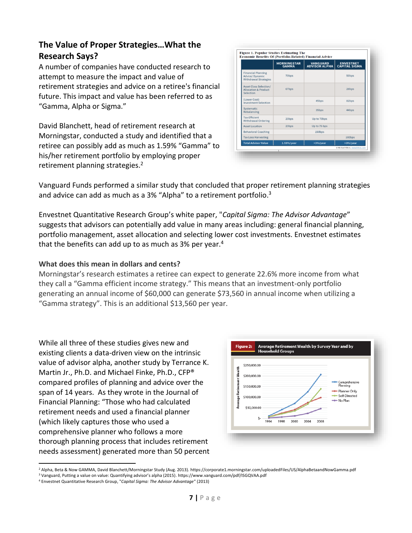### **The Value of Proper Strategies…What the Research Says?**

A number of companies have conducted research to attempt to measure the impact and value of retirement strategies and advice on a retiree's financial future. This impact and value has been referred to as "Gamma, Alpha or Sigma."

David Blanchett, head of retirement research at Morningstar, conducted a study and identified that a retiree can possibly add as much as 1.59% "Gamma" to his/her retirement portfolio by employing proper retirement planning strategies.<sup>2</sup>

|                                                                               | <b>MORNINGSTAR</b><br><b>GAMMA</b> | <b>VANGUARD</b><br><b>ADVISOR ALPHA</b> | <b>ENVESTNET</b><br>CAPITAL SIGMA |
|-------------------------------------------------------------------------------|------------------------------------|-----------------------------------------|-----------------------------------|
| <b>Financial Planning</b><br>Advice/Dynamic<br><b>Withdrawal Strategies</b>   | 70bps                              |                                         | 50bps                             |
| <b>Asset Class Selection/</b><br><b>Allocation &amp; Product</b><br>Selection | 67bps                              |                                         | 28bps                             |
| (Lower Cost)<br><b>Investment Selection</b>                                   |                                    | 45bps                                   | 82bps                             |
| Systematic<br>Rebalancing                                                     |                                    | 35bps                                   | 44bps                             |
| <b>Tax-Efficient</b><br><b>Withdrawal Ordering</b>                            | 23bps                              | Up to 70bps                             |                                   |
| <b>Asset Location</b>                                                         | 23bps                              | Up to 75 bps                            |                                   |
| <b>Behavioral Coaching</b>                                                    |                                    | 150bps                                  |                                   |
| <b>Tax Loss Harvesting</b>                                                    |                                    |                                         | 100bps                            |
| <b>Total Advisor Value</b>                                                    | 1.59%/year                         | $>396$ /year                            | $>3\%/year$                       |

Vanguard Funds performed a similar study that concluded that proper retirement planning strategies and advice can add as much as a 3% "Alpha" to a retirement portfolio.<sup>3</sup>

Envestnet Quantitative Research Group's white paper, "*Capital Sigma: The Advisor Advantage*" suggests that advisors can potentially add value in many areas including: general financial planning, portfolio management, asset allocation and selecting lower cost investments. Envestnet estimates that the benefits can add up to as much as 3% per year.<sup>4</sup>

#### **What does this mean in dollars and cents?**

Morningstar's research estimates a retiree can expect to generate 22.6% more income from what they call a "Gamma efficient income strategy." This means that an investment-only portfolio generating an annual income of \$60,000 can generate \$73,560 in annual income when utilizing a "Gamma strategy". This is an additional \$13,560 per year.

[While all three of these studies gives new and](https://www.onefpa.org/journal/Pages/NOV14-A-Comparison-of-Retirement-Strategies-and-Financial-Planner-Value.aspx)  [existing clients a data-driven view on the intrinsic](https://www.onefpa.org/journal/Pages/NOV14-A-Comparison-of-Retirement-Strategies-and-Financial-Planner-Value.aspx)  [value of advisor alpha, another study by Terrance K.](https://www.onefpa.org/journal/Pages/NOV14-A-Comparison-of-Retirement-Strategies-and-Financial-Planner-Value.aspx)  [Martin Jr., Ph.D. and Michael Finke, Ph.D., CFP®](https://www.onefpa.org/journal/Pages/NOV14-A-Comparison-of-Retirement-Strategies-and-Financial-Planner-Value.aspx)  [compared profiles of planning and advice over the](https://www.onefpa.org/journal/Pages/NOV14-A-Comparison-of-Retirement-Strategies-and-Financial-Planner-Value.aspx)  [span of 14 years.](https://www.onefpa.org/journal/Pages/NOV14-A-Comparison-of-Retirement-Strategies-and-Financial-Planner-Value.aspx) As they wrote in the Journal of Financial Planning: "Those who had calculated retirement needs and used a financial planner (which likely captures those who used a comprehensive planner who follows a more thorough planning process that includes retirement needs assessment) generated more than 50 percent



<sup>2</sup> Alpha, Beta & Now GAMMA, David Blanchett/Morningstar Study (Aug. 2013). https://corporate1.morningstar.com/uploadedFiles/US/AlphaBetaandNowGamma.pdf

<sup>3</sup> [Vanguard, Putting a value on value: Quantifying advisor's alpha \(2015\)](https://www.vanguard.com/pdf/ISGQVAA.pdf). https://www.vanguard.com/pdf/ISGQVAA.pdf

<sup>4</sup> Envestnet Quantitative Research Group, "*Capital Sigma: The Advisor Advantage*" (2013)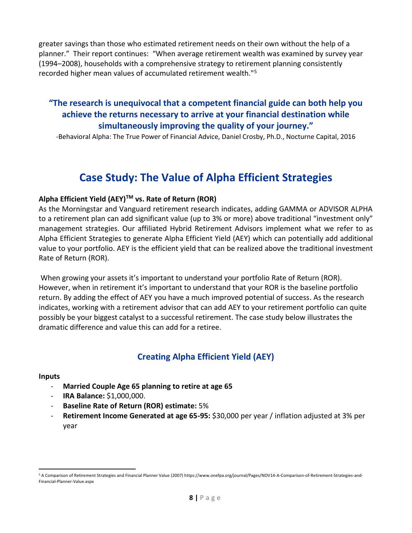greater savings than those who estimated retirement needs on their own without the help of a planner." Their report continues: "When average retirement wealth was examined by survey year (1994–2008), households with a comprehensive strategy to retirement planning consistently recorded higher mean values of accumulated retirement wealth."<sup>5</sup>

### **"The research is unequivocal that a competent financial guide can both help you achieve the returns necessary to arrive at your financial destination while simultaneously improving the quality of your journey."**

-Behavioral Alpha: The True Power of Financial Advice, Daniel Crosby, Ph.D., Nocturne Capital, 2016

## **Case Study: The Value of Alpha Efficient Strategies**

#### **Alpha Efficient Yield (AEY)TM vs. Rate of Return (ROR)**

As the Morningstar and Vanguard retirement research indicates, adding GAMMA or ADVISOR ALPHA to a retirement plan can add significant value (up to 3% or more) above traditional "investment only" management strategies. Our affiliated Hybrid Retirement Advisors implement what we refer to as Alpha Efficient Strategies to generate Alpha Efficient Yield (AEY) which can potentially add additional value to your portfolio. AEY is the efficient yield that can be realized above the traditional investment Rate of Return (ROR).

When growing your assets it's important to understand your portfolio Rate of Return (ROR). However, when in retirement it's important to understand that your ROR is the baseline portfolio return. By adding the effect of AEY you have a much improved potential of success. As the research indicates, working with a retirement advisor that can add AEY to your retirement portfolio can quite possibly be your biggest catalyst to a successful retirement. The case study below illustrates the dramatic difference and value this can add for a retiree.

### **Creating Alpha Efficient Yield (AEY)**

#### **Inputs**

- **Married Couple Age 65 planning to retire at age 65**
- **IRA Balance:** \$1,000,000.
- **Baseline Rate of Return (ROR) estimate:** 5%
- **Retirement Income Generated at age 65-95:** \$30,000 per year / inflation adjusted at 3% per year

<sup>5</sup> A Comparison of Retirement Strategies and Financial Planner Value (2007) https://www.onefpa.org/journal/Pages/NOV14-A-Comparison-of-Retirement-Strategies-and-Financial-Planner-Value.aspx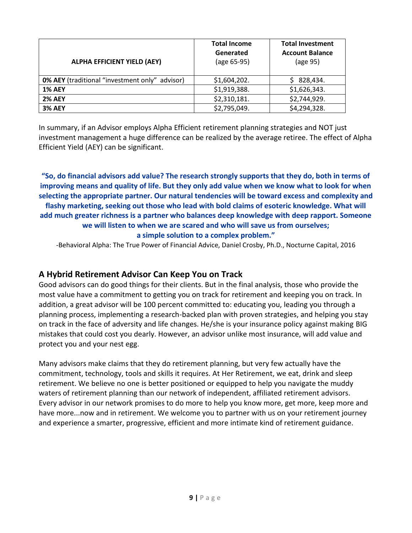| <b>ALPHA EFFICIENT YIELD (AEY)</b>                | <b>Total Income</b><br>Generated<br>(age 65-95) | <b>Total Investment</b><br><b>Account Balance</b><br>(age 95) |
|---------------------------------------------------|-------------------------------------------------|---------------------------------------------------------------|
| 0% AEY (traditional "investment only"<br>advisor) | \$1,604,202.                                    | 828,434.<br>S.                                                |
| <b>1% AEY</b>                                     | \$1,919,388.                                    | \$1,626,343.                                                  |
| <b>2% AEY</b>                                     | \$2,310,181.                                    | \$2,744,929.                                                  |
| <b>3% AEY</b>                                     | \$2,795,049.                                    | \$4,294,328.                                                  |

In summary, if an Advisor employs Alpha Efficient retirement planning strategies and NOT just investment management a huge difference can be realized by the average retiree. The effect of Alpha Efficient Yield (AEY) can be significant.

**"So, do financial advisors add value? The research strongly supports that they do, both in terms of improving means and quality of life. But they only add value when we know what to look for when selecting the appropriate partner. Our natural tendencies will be toward excess and complexity and flashy marketing, seeking out those who lead with bold claims of esoteric knowledge. What will add much greater richness is a partner who balances deep knowledge with deep rapport. Someone we will listen to when we are scared and who will save us from ourselves; a simple solution to a complex problem."**

-Behavioral Alpha: The True Power of Financial Advice, Daniel Crosby, Ph.D., Nocturne Capital, 2016

#### **A Hybrid Retirement Advisor Can Keep You on Track**

Good advisors can do good things for their clients. But in the final analysis, those who provide the most value have a commitment to getting you on track for retirement and keeping you on track. In addition, a great advisor will be 100 percent committed to: educating you, leading you through a planning process, implementing a research-backed plan with proven strategies, and helping you stay on track in the face of adversity and life changes. He/she is your insurance policy against making BIG mistakes that could cost you dearly. However, an advisor unlike most insurance, will add value and protect you and your nest egg.

Many advisors make claims that they do retirement planning, but very few actually have the commitment, technology, tools and skills it requires. At Her Retirement, we eat, drink and sleep retirement. We believe no one is better positioned or equipped to help you navigate the muddy waters of retirement planning than our network of independent, affiliated retirement advisors. Every advisor in our network promises to do more to help you know more, get more, keep more and have more...now and in retirement. We welcome you to partner with us on your retirement journey and experience a smarter, progressive, efficient and more intimate kind of retirement guidance.